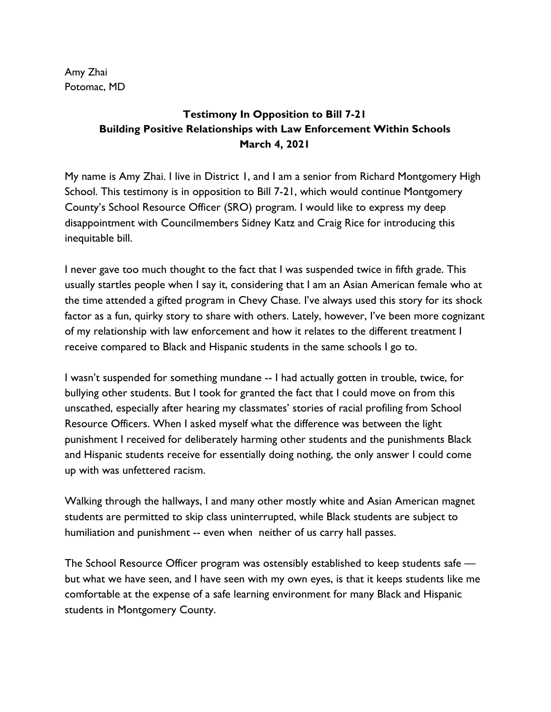Amy Zhai Potomac, MD

## **Testimony In Opposition to Bill 7-21 Building Positive Relationships with Law Enforcement Within Schools March 4, 2021**

My name is Amy Zhai. I live in District 1, and I am a senior from Richard Montgomery High School. This testimony is in opposition to Bill 7-21, which would continue Montgomery County's School Resource Officer (SRO) program. I would like to express my deep disappointment with Councilmembers Sidney Katz and Craig Rice for introducing this inequitable bill.

I never gave too much thought to the fact that I was suspended twice in fifth grade. This usually startles people when I say it, considering that I am an Asian American female who at the time attended a gifted program in Chevy Chase. I've always used this story for its shock factor as a fun, quirky story to share with others. Lately, however, I've been more cognizant of my relationship with law enforcement and how it relates to the different treatment I receive compared to Black and Hispanic students in the same schools I go to.

I wasn't suspended for something mundane -- I had actually gotten in trouble, twice, for bullying other students. But I took for granted the fact that I could move on from this unscathed, especially after hearing my classmates' stories of racial profiling from School Resource Officers. When I asked myself what the difference was between the light punishment I received for deliberately harming other students and the punishments Black and Hispanic students receive for essentially doing nothing, the only answer I could come up with was unfettered racism.

Walking through the hallways, I and many other mostly white and Asian American magnet students are permitted to skip class uninterrupted, while Black students are subject to humiliation and punishment -- even when neither of us carry hall passes.

The School Resource Officer program was ostensibly established to keep students safe but what we have seen, and I have seen with my own eyes, is that it keeps students like me comfortable at the expense of a safe learning environment for many Black and Hispanic students in Montgomery County.